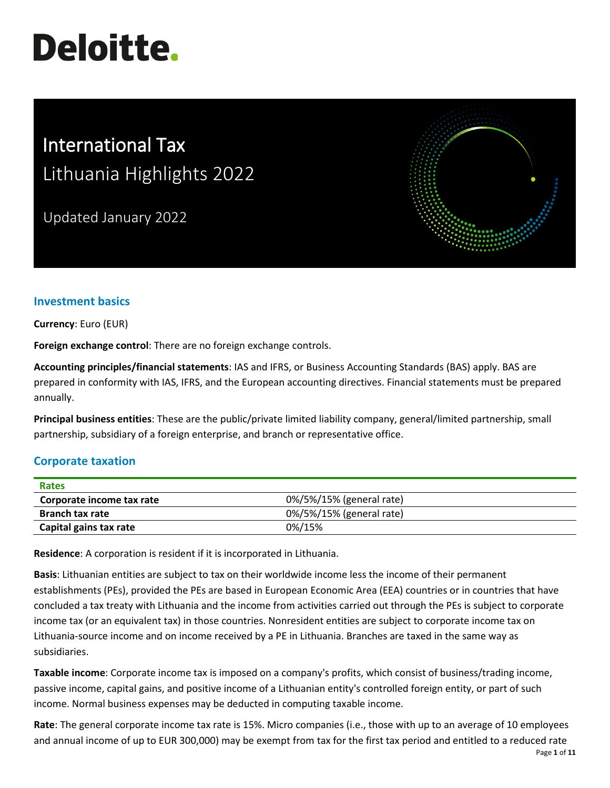# **Deloitte.**

## International Tax Lithuania Highlights 2022

Updated January 2022



### **Investment basics**

**Currency**: Euro (EUR)

**Foreign exchange control**: There are no foreign exchange controls.

**Accounting principles/financial statements**: IAS and IFRS, or Business Accounting Standards (BAS) apply. BAS are prepared in conformity with IAS, IFRS, and the European accounting directives. Financial statements must be prepared annually.

**Principal business entities**: These are the public/private limited liability company, general/limited partnership, small partnership, subsidiary of a foreign enterprise, and branch or representative office.

#### **Corporate taxation**

| <b>Rates</b>              |                          |
|---------------------------|--------------------------|
| Corporate income tax rate | 0%/5%/15% (general rate) |
| <b>Branch tax rate</b>    | 0%/5%/15% (general rate) |
| Capital gains tax rate    | 0%/15%                   |

**Residence**: A corporation is resident if it is incorporated in Lithuania.

**Basis**: Lithuanian entities are subject to tax on their worldwide income less the income of their permanent establishments (PEs), provided the PEs are based in European Economic Area (EEA) countries or in countries that have concluded a tax treaty with Lithuania and the income from activities carried out through the PEs is subject to corporate income tax (or an equivalent tax) in those countries. Nonresident entities are subject to corporate income tax on Lithuania-source income and on income received by a PE in Lithuania. Branches are taxed in the same way as subsidiaries.

**Taxable income**: Corporate income tax is imposed on a company's profits, which consist of business/trading income, passive income, capital gains, and positive income of a Lithuanian entity's controlled foreign entity, or part of such income. Normal business expenses may be deducted in computing taxable income.

**Rate**: The general corporate income tax rate is 15%. Micro companies (i.e., those with up to an average of 10 employees and annual income of up to EUR 300,000) may be exempt from tax for the first tax period and entitled to a reduced rate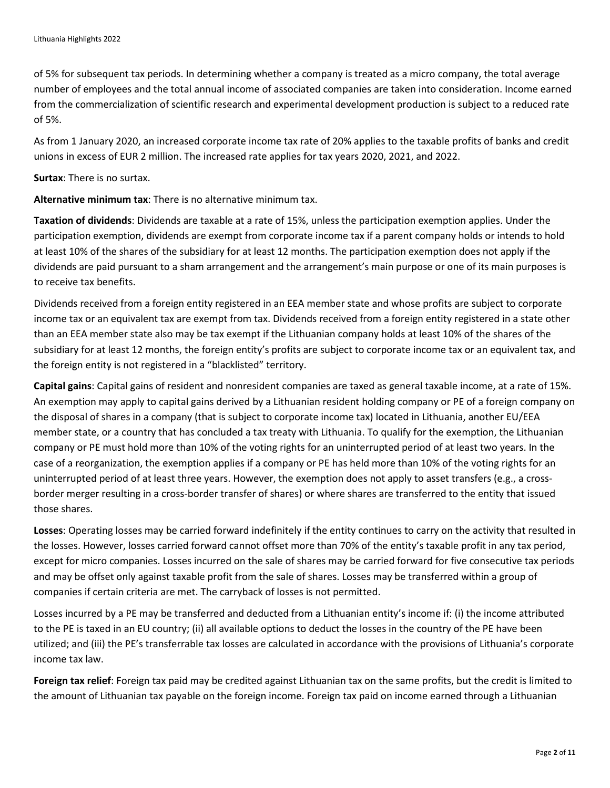of 5% for subsequent tax periods. In determining whether a company is treated as a micro company, the total average number of employees and the total annual income of associated companies are taken into consideration. Income earned from the commercialization of scientific research and experimental development production is subject to a reduced rate of 5%.

As from 1 January 2020, an increased corporate income tax rate of 20% applies to the taxable profits of banks and credit unions in excess of EUR 2 million. The increased rate applies for tax years 2020, 2021, and 2022.

**Surtax**: There is no surtax.

**Alternative minimum tax**: There is no alternative minimum tax.

**Taxation of dividends**: Dividends are taxable at a rate of 15%, unless the participation exemption applies. Under the participation exemption, dividends are exempt from corporate income tax if a parent company holds or intends to hold at least 10% of the shares of the subsidiary for at least 12 months. The participation exemption does not apply if the dividends are paid pursuant to a sham arrangement and the arrangement's main purpose or one of its main purposes is to receive tax benefits.

Dividends received from a foreign entity registered in an EEA member state and whose profits are subject to corporate income tax or an equivalent tax are exempt from tax. Dividends received from a foreign entity registered in a state other than an EEA member state also may be tax exempt if the Lithuanian company holds at least 10% of the shares of the subsidiary for at least 12 months, the foreign entity's profits are subject to corporate income tax or an equivalent tax, and the foreign entity is not registered in a "blacklisted" territory.

**Capital gains**: Capital gains of resident and nonresident companies are taxed as general taxable income, at a rate of 15%. An exemption may apply to capital gains derived by a Lithuanian resident holding company or PE of a foreign company on the disposal of shares in a company (that is subject to corporate income tax) located in Lithuania, another EU/EEA member state, or a country that has concluded a tax treaty with Lithuania. To qualify for the exemption, the Lithuanian company or PE must hold more than 10% of the voting rights for an uninterrupted period of at least two years. In the case of a reorganization, the exemption applies if a company or PE has held more than 10% of the voting rights for an uninterrupted period of at least three years. However, the exemption does not apply to asset transfers (e.g., a crossborder merger resulting in a cross-border transfer of shares) or where shares are transferred to the entity that issued those shares.

**Losses**: Operating losses may be carried forward indefinitely if the entity continues to carry on the activity that resulted in the losses. However, losses carried forward cannot offset more than 70% of the entity's taxable profit in any tax period, except for micro companies. Losses incurred on the sale of shares may be carried forward for five consecutive tax periods and may be offset only against taxable profit from the sale of shares. Losses may be transferred within a group of companies if certain criteria are met. The carryback of losses is not permitted.

Losses incurred by a PE may be transferred and deducted from a Lithuanian entity's income if: (i) the income attributed to the PE is taxed in an EU country; (ii) all available options to deduct the losses in the country of the PE have been utilized; and (iii) the PE's transferrable tax losses are calculated in accordance with the provisions of Lithuania's corporate income tax law.

**Foreign tax relief**: Foreign tax paid may be credited against Lithuanian tax on the same profits, but the credit is limited to the amount of Lithuanian tax payable on the foreign income. Foreign tax paid on income earned through a Lithuanian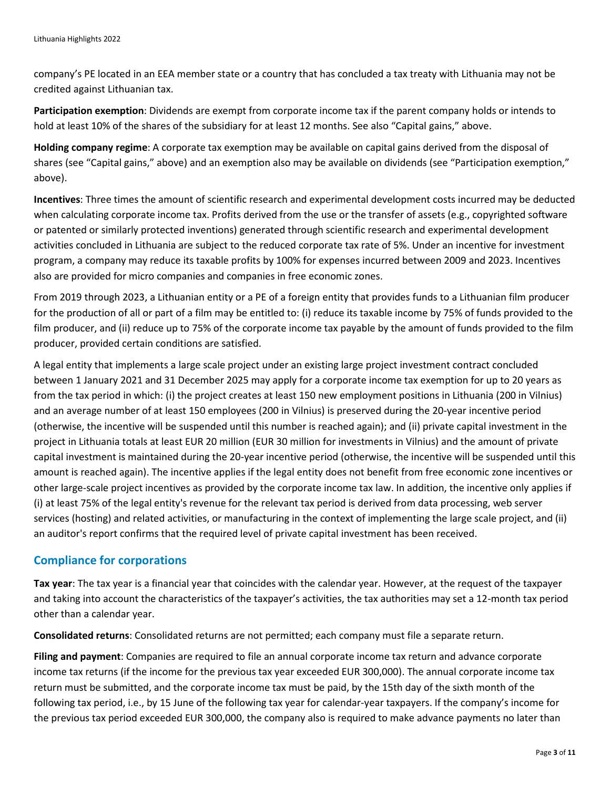company's PE located in an EEA member state or a country that has concluded a tax treaty with Lithuania may not be credited against Lithuanian tax.

**Participation exemption**: Dividends are exempt from corporate income tax if the parent company holds or intends to hold at least 10% of the shares of the subsidiary for at least 12 months. See also "Capital gains," above.

**Holding company regime**: A corporate tax exemption may be available on capital gains derived from the disposal of shares (see "Capital gains," above) and an exemption also may be available on dividends (see "Participation exemption," above).

**Incentives**: Three times the amount of scientific research and experimental development costs incurred may be deducted when calculating corporate income tax. Profits derived from the use or the transfer of assets (e.g., copyrighted software or patented or similarly protected inventions) generated through scientific research and experimental development activities concluded in Lithuania are subject to the reduced corporate tax rate of 5%. Under an incentive for investment program, a company may reduce its taxable profits by 100% for expenses incurred between 2009 and 2023. Incentives also are provided for micro companies and companies in free economic zones.

From 2019 through 2023, a Lithuanian entity or a PE of a foreign entity that provides funds to a Lithuanian film producer for the production of all or part of a film may be entitled to: (i) reduce its taxable income by 75% of funds provided to the film producer, and (ii) reduce up to 75% of the corporate income tax payable by the amount of funds provided to the film producer, provided certain conditions are satisfied.

A legal entity that implements a large scale project under an existing large project investment contract concluded between 1 January 2021 and 31 December 2025 may apply for a corporate income tax exemption for up to 20 years as from the tax period in which: (i) the project creates at least 150 new employment positions in Lithuania (200 in Vilnius) and an average number of at least 150 employees (200 in Vilnius) is preserved during the 20-year incentive period (otherwise, the incentive will be suspended until this number is reached again); and (ii) private capital investment in the project in Lithuania totals at least EUR 20 million (EUR 30 million for investments in Vilnius) and the amount of private capital investment is maintained during the 20-year incentive period (otherwise, the incentive will be suspended until this amount is reached again). The incentive applies if the legal entity does not benefit from free economic zone incentives or other large-scale project incentives as provided by the corporate income tax law. In addition, the incentive only applies if (i) at least 75% of the legal entity's revenue for the relevant tax period is derived from data processing, web server services (hosting) and related activities, or manufacturing in the context of implementing the large scale project, and (ii) an auditor's report confirms that the required level of private capital investment has been received.

#### **Compliance for corporations**

**Tax year**: The tax year is a financial year that coincides with the calendar year. However, at the request of the taxpayer and taking into account the characteristics of the taxpayer's activities, the tax authorities may set a 12-month tax period other than a calendar year.

**Consolidated returns**: Consolidated returns are not permitted; each company must file a separate return.

**Filing and payment**: Companies are required to file an annual corporate income tax return and advance corporate income tax returns (if the income for the previous tax year exceeded EUR 300,000). The annual corporate income tax return must be submitted, and the corporate income tax must be paid, by the 15th day of the sixth month of the following tax period, i.e., by 15 June of the following tax year for calendar-year taxpayers. If the company's income for the previous tax period exceeded EUR 300,000, the company also is required to make advance payments no later than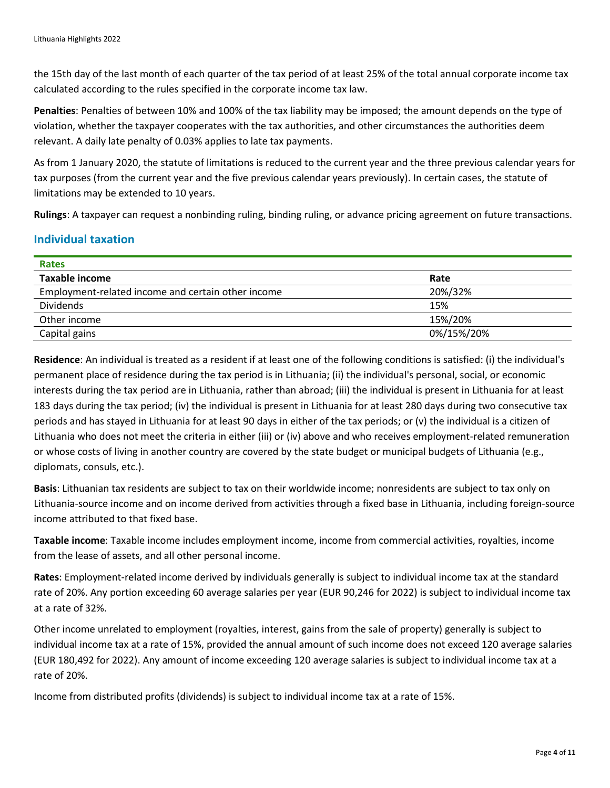the 15th day of the last month of each quarter of the tax period of at least 25% of the total annual corporate income tax calculated according to the rules specified in the corporate income tax law.

**Penalties**: Penalties of between 10% and 100% of the tax liability may be imposed; the amount depends on the type of violation, whether the taxpayer cooperates with the tax authorities, and other circumstances the authorities deem relevant. A daily late penalty of 0.03% applies to late tax payments.

As from 1 January 2020, the statute of limitations is reduced to the current year and the three previous calendar years for tax purposes (from the current year and the five previous calendar years previously). In certain cases, the statute of limitations may be extended to 10 years.

**Rulings**: A taxpayer can request a nonbinding ruling, binding ruling, or advance pricing agreement on future transactions.

#### **Individual taxation**

| <b>Rates</b>                                       |            |  |
|----------------------------------------------------|------------|--|
| <b>Taxable income</b>                              | Rate       |  |
| Employment-related income and certain other income | 20%/32%    |  |
| <b>Dividends</b>                                   | 15%        |  |
| Other income                                       | 15%/20%    |  |
| Capital gains                                      | 0%/15%/20% |  |

**Residence**: An individual is treated as a resident if at least one of the following conditions is satisfied: (i) the individual's permanent place of residence during the tax period is in Lithuania; (ii) the individual's personal, social, or economic interests during the tax period are in Lithuania, rather than abroad; (iii) the individual is present in Lithuania for at least 183 days during the tax period; (iv) the individual is present in Lithuania for at least 280 days during two consecutive tax periods and has stayed in Lithuania for at least 90 days in either of the tax periods; or (v) the individual is a citizen of Lithuania who does not meet the criteria in either (iii) or (iv) above and who receives employment-related remuneration or whose costs of living in another country are covered by the state budget or municipal budgets of Lithuania (e.g., diplomats, consuls, etc.).

**Basis**: Lithuanian tax residents are subject to tax on their worldwide income; nonresidents are subject to tax only on Lithuania-source income and on income derived from activities through a fixed base in Lithuania, including foreign-source income attributed to that fixed base.

**Taxable income**: Taxable income includes employment income, income from commercial activities, royalties, income from the lease of assets, and all other personal income.

**Rates**: Employment-related income derived by individuals generally is subject to individual income tax at the standard rate of 20%. Any portion exceeding 60 average salaries per year (EUR 90,246 for 2022) is subject to individual income tax at a rate of 32%.

Other income unrelated to employment (royalties, interest, gains from the sale of property) generally is subject to individual income tax at a rate of 15%, provided the annual amount of such income does not exceed 120 average salaries (EUR 180,492 for 2022). Any amount of income exceeding 120 average salaries is subject to individual income tax at a rate of 20%.

Income from distributed profits (dividends) is subject to individual income tax at a rate of 15%.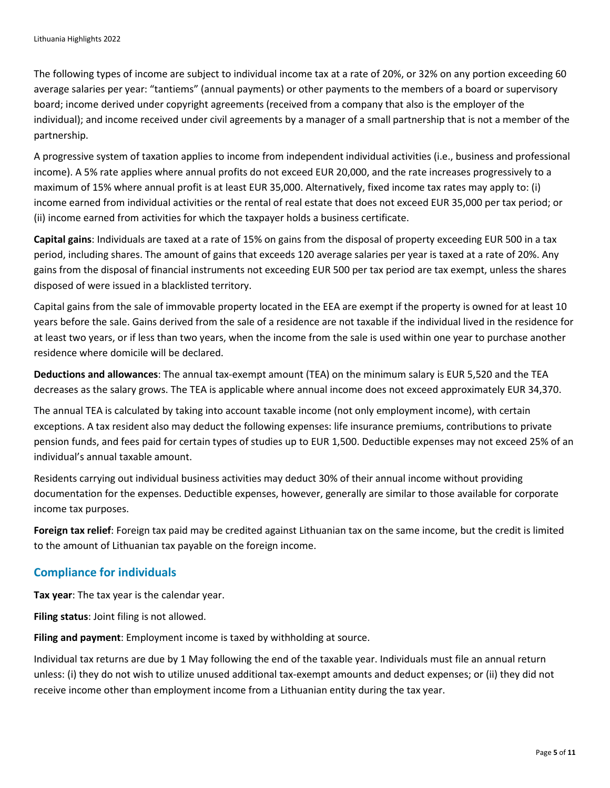The following types of income are subject to individual income tax at a rate of 20%, or 32% on any portion exceeding 60 average salaries per year: "tantiems" (annual payments) or other payments to the members of a board or supervisory board; income derived under copyright agreements (received from a company that also is the employer of the individual); and income received under civil agreements by a manager of a small partnership that is not a member of the partnership.

A progressive system of taxation applies to income from independent individual activities (i.e., business and professional income). A 5% rate applies where annual profits do not exceed EUR 20,000, and the rate increases progressively to a maximum of 15% where annual profit is at least EUR 35,000. Alternatively, fixed income tax rates may apply to: (i) income earned from individual activities or the rental of real estate that does not exceed EUR 35,000 per tax period; or (ii) income earned from activities for which the taxpayer holds a business certificate.

**Capital gains**: Individuals are taxed at a rate of 15% on gains from the disposal of property exceeding EUR 500 in a tax period, including shares. The amount of gains that exceeds 120 average salaries per year is taxed at a rate of 20%. Any gains from the disposal of financial instruments not exceeding EUR 500 per tax period are tax exempt, unless the shares disposed of were issued in a blacklisted territory.

Capital gains from the sale of immovable property located in the EEA are exempt if the property is owned for at least 10 years before the sale. Gains derived from the sale of a residence are not taxable if the individual lived in the residence for at least two years, or if less than two years, when the income from the sale is used within one year to purchase another residence where domicile will be declared.

**Deductions and allowances**: The annual tax-exempt amount (TEA) on the minimum salary is EUR 5,520 and the TEA decreases as the salary grows. The TEA is applicable where annual income does not exceed approximately EUR 34,370.

The annual TEA is calculated by taking into account taxable income (not only employment income), with certain exceptions. A tax resident also may deduct the following expenses: life insurance premiums, contributions to private pension funds, and fees paid for certain types of studies up to EUR 1,500. Deductible expenses may not exceed 25% of an individual's annual taxable amount.

Residents carrying out individual business activities may deduct 30% of their annual income without providing documentation for the expenses. Deductible expenses, however, generally are similar to those available for corporate income tax purposes.

**Foreign tax relief**: Foreign tax paid may be credited against Lithuanian tax on the same income, but the credit is limited to the amount of Lithuanian tax payable on the foreign income.

#### **Compliance for individuals**

**Tax year**: The tax year is the calendar year.

**Filing status**: Joint filing is not allowed.

**Filing and payment**: Employment income is taxed by withholding at source.

Individual tax returns are due by 1 May following the end of the taxable year. Individuals must file an annual return unless: (i) they do not wish to utilize unused additional tax-exempt amounts and deduct expenses; or (ii) they did not receive income other than employment income from a Lithuanian entity during the tax year.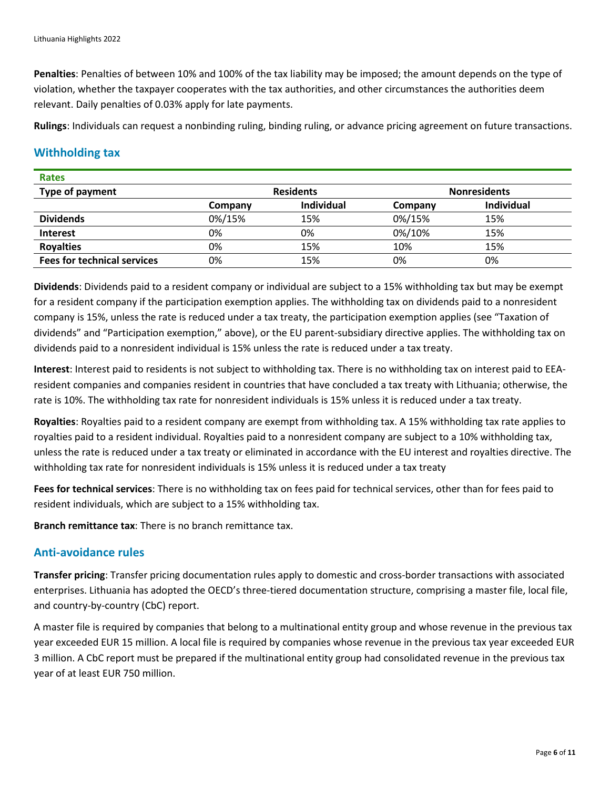**Penalties**: Penalties of between 10% and 100% of the tax liability may be imposed; the amount depends on the type of violation, whether the taxpayer cooperates with the tax authorities, and other circumstances the authorities deem relevant. Daily penalties of 0.03% apply for late payments.

**Rulings**: Individuals can request a nonbinding ruling, binding ruling, or advance pricing agreement on future transactions.

#### **Withholding tax**

| <b>Rates</b>                       |                  |                   |                     |                   |
|------------------------------------|------------------|-------------------|---------------------|-------------------|
| Type of payment                    | <b>Residents</b> |                   | <b>Nonresidents</b> |                   |
|                                    | Company          | <b>Individual</b> | Company             | <b>Individual</b> |
| <b>Dividends</b>                   | 0%/15%           | 15%               | 0%/15%              | 15%               |
| <b>Interest</b>                    | 0%               | 0%                | 0%/10%              | 15%               |
| <b>Royalties</b>                   | 0%               | 15%               | 10%                 | 15%               |
| <b>Fees for technical services</b> | 0%               | 15%               | 0%                  | 0%                |

**Dividends**: Dividends paid to a resident company or individual are subject to a 15% withholding tax but may be exempt for a resident company if the participation exemption applies. The withholding tax on dividends paid to a nonresident company is 15%, unless the rate is reduced under a tax treaty, the participation exemption applies (see "Taxation of dividends" and "Participation exemption," above), or the EU parent-subsidiary directive applies. The withholding tax on dividends paid to a nonresident individual is 15% unless the rate is reduced under a tax treaty.

**Interest**: Interest paid to residents is not subject to withholding tax. There is no withholding tax on interest paid to EEAresident companies and companies resident in countries that have concluded a tax treaty with Lithuania; otherwise, the rate is 10%. The withholding tax rate for nonresident individuals is 15% unless it is reduced under a tax treaty.

**Royalties**: Royalties paid to a resident company are exempt from withholding tax. A 15% withholding tax rate applies to royalties paid to a resident individual. Royalties paid to a nonresident company are subject to a 10% withholding tax, unless the rate is reduced under a tax treaty or eliminated in accordance with the EU interest and royalties directive. The withholding tax rate for nonresident individuals is 15% unless it is reduced under a tax treaty

**Fees for technical services**: There is no withholding tax on fees paid for technical services, other than for fees paid to resident individuals, which are subject to a 15% withholding tax.

**Branch remittance tax**: There is no branch remittance tax.

#### **Anti-avoidance rules**

**Transfer pricing**: Transfer pricing documentation rules apply to domestic and cross-border transactions with associated enterprises. Lithuania has adopted the OECD's three-tiered documentation structure, comprising a master file, local file, and country-by-country (CbC) report.

A master file is required by companies that belong to a multinational entity group and whose revenue in the previous tax year exceeded EUR 15 million. A local file is required by companies whose revenue in the previous tax year exceeded EUR 3 million. A CbC report must be prepared if the multinational entity group had consolidated revenue in the previous tax year of at least EUR 750 million.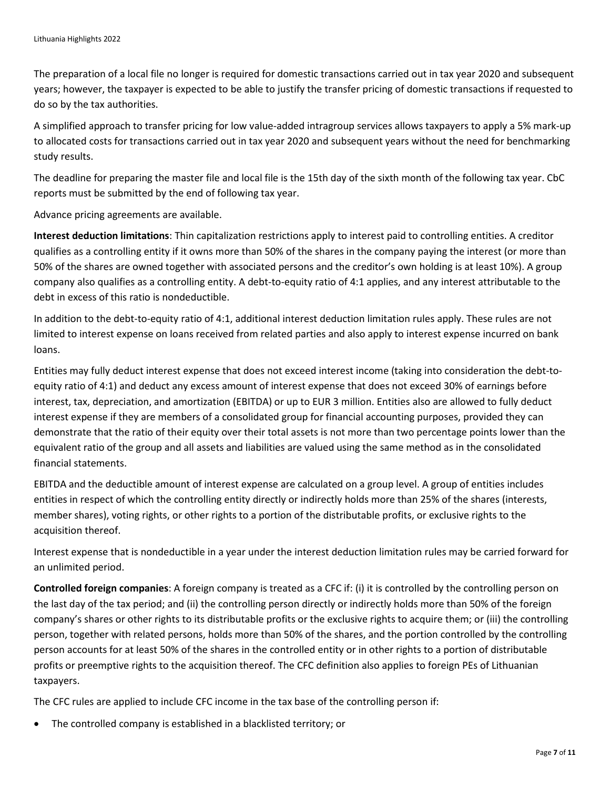The preparation of a local file no longer is required for domestic transactions carried out in tax year 2020 and subsequent years; however, the taxpayer is expected to be able to justify the transfer pricing of domestic transactions if requested to do so by the tax authorities.

A simplified approach to transfer pricing for low value-added intragroup services allows taxpayers to apply a 5% mark-up to allocated costs for transactions carried out in tax year 2020 and subsequent years without the need for benchmarking study results.

The deadline for preparing the master file and local file is the 15th day of the sixth month of the following tax year. CbC reports must be submitted by the end of following tax year.

Advance pricing agreements are available.

**Interest deduction limitations**: Thin capitalization restrictions apply to interest paid to controlling entities. A creditor qualifies as a controlling entity if it owns more than 50% of the shares in the company paying the interest (or more than 50% of the shares are owned together with associated persons and the creditor's own holding is at least 10%). A group company also qualifies as a controlling entity. A debt-to-equity ratio of 4:1 applies, and any interest attributable to the debt in excess of this ratio is nondeductible.

In addition to the debt-to-equity ratio of 4:1, additional interest deduction limitation rules apply. These rules are not limited to interest expense on loans received from related parties and also apply to interest expense incurred on bank loans.

Entities may fully deduct interest expense that does not exceed interest income (taking into consideration the debt-toequity ratio of 4:1) and deduct any excess amount of interest expense that does not exceed 30% of earnings before interest, tax, depreciation, and amortization (EBITDA) or up to EUR 3 million. Entities also are allowed to fully deduct interest expense if they are members of a consolidated group for financial accounting purposes, provided they can demonstrate that the ratio of their equity over their total assets is not more than two percentage points lower than the equivalent ratio of the group and all assets and liabilities are valued using the same method as in the consolidated financial statements.

EBITDA and the deductible amount of interest expense are calculated on a group level. A group of entities includes entities in respect of which the controlling entity directly or indirectly holds more than 25% of the shares (interests, member shares), voting rights, or other rights to a portion of the distributable profits, or exclusive rights to the acquisition thereof.

Interest expense that is nondeductible in a year under the interest deduction limitation rules may be carried forward for an unlimited period.

**Controlled foreign companies**: A foreign company is treated as a CFC if: (i) it is controlled by the controlling person on the last day of the tax period; and (ii) the controlling person directly or indirectly holds more than 50% of the foreign company's shares or other rights to its distributable profits or the exclusive rights to acquire them; or (iii) the controlling person, together with related persons, holds more than 50% of the shares, and the portion controlled by the controlling person accounts for at least 50% of the shares in the controlled entity or in other rights to a portion of distributable profits or preemptive rights to the acquisition thereof. The CFC definition also applies to foreign PEs of Lithuanian taxpayers.

The CFC rules are applied to include CFC income in the tax base of the controlling person if:

• The controlled company is established in a blacklisted territory; or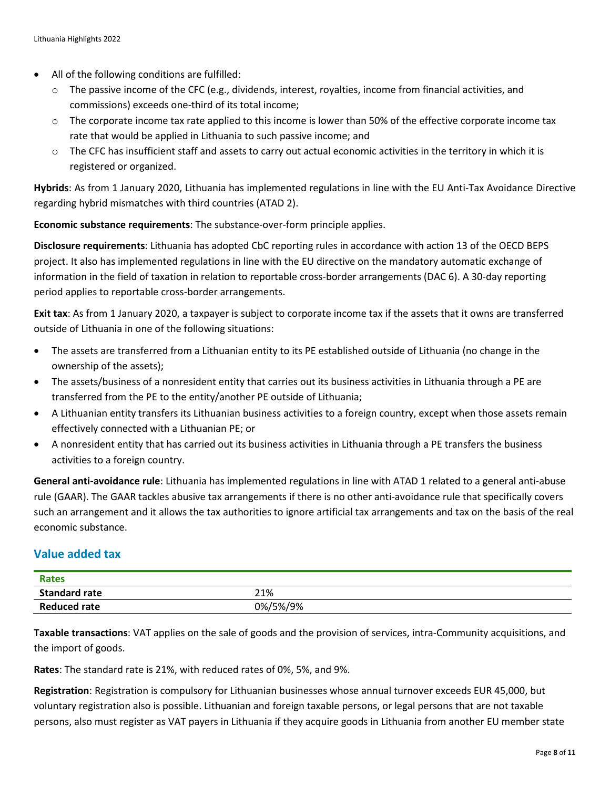- All of the following conditions are fulfilled:
	- $\circ$  The passive income of the CFC (e.g., dividends, interest, royalties, income from financial activities, and commissions) exceeds one-third of its total income;
	- $\circ$  The corporate income tax rate applied to this income is lower than 50% of the effective corporate income tax rate that would be applied in Lithuania to such passive income; and
	- $\circ$  The CFC has insufficient staff and assets to carry out actual economic activities in the territory in which it is registered or organized.

**Hybrids**: As from 1 January 2020, Lithuania has implemented regulations in line with the EU Anti-Tax Avoidance Directive regarding hybrid mismatches with third countries (ATAD 2).

**Economic substance requirements**: The substance-over-form principle applies.

**Disclosure requirements**: Lithuania has adopted CbC reporting rules in accordance with action 13 of the OECD BEPS project. It also has implemented regulations in line with the EU directive on the mandatory automatic exchange of information in the field of taxation in relation to reportable cross-border arrangements (DAC 6). A 30-day reporting period applies to reportable cross-border arrangements.

**Exit tax**: As from 1 January 2020, a taxpayer is subject to corporate income tax if the assets that it owns are transferred outside of Lithuania in one of the following situations:

- The assets are transferred from a Lithuanian entity to its PE established outside of Lithuania (no change in the ownership of the assets);
- The assets/business of a nonresident entity that carries out its business activities in Lithuania through a PE are transferred from the PE to the entity/another PE outside of Lithuania;
- A Lithuanian entity transfers its Lithuanian business activities to a foreign country, except when those assets remain effectively connected with a Lithuanian PE; or
- A nonresident entity that has carried out its business activities in Lithuania through a PE transfers the business activities to a foreign country.

**General anti-avoidance rule**: Lithuania has implemented regulations in line with ATAD 1 related to a general anti-abuse rule (GAAR). The GAAR tackles abusive tax arrangements if there is no other anti-avoidance rule that specifically covers such an arrangement and it allows the tax authorities to ignore artificial tax arrangements and tax on the basis of the real economic substance.

#### **Value added tax**

| <b>Rates</b>         |          |
|----------------------|----------|
| <b>Standard rate</b> | 21%      |
| <b>Reduced rate</b>  | 0%/5%/9% |

**Taxable transactions**: VAT applies on the sale of goods and the provision of services, intra-Community acquisitions, and the import of goods.

**Rates**: The standard rate is 21%, with reduced rates of 0%, 5%, and 9%.

**Registration**: Registration is compulsory for Lithuanian businesses whose annual turnover exceeds EUR 45,000, but voluntary registration also is possible. Lithuanian and foreign taxable persons, or legal persons that are not taxable persons, also must register as VAT payers in Lithuania if they acquire goods in Lithuania from another EU member state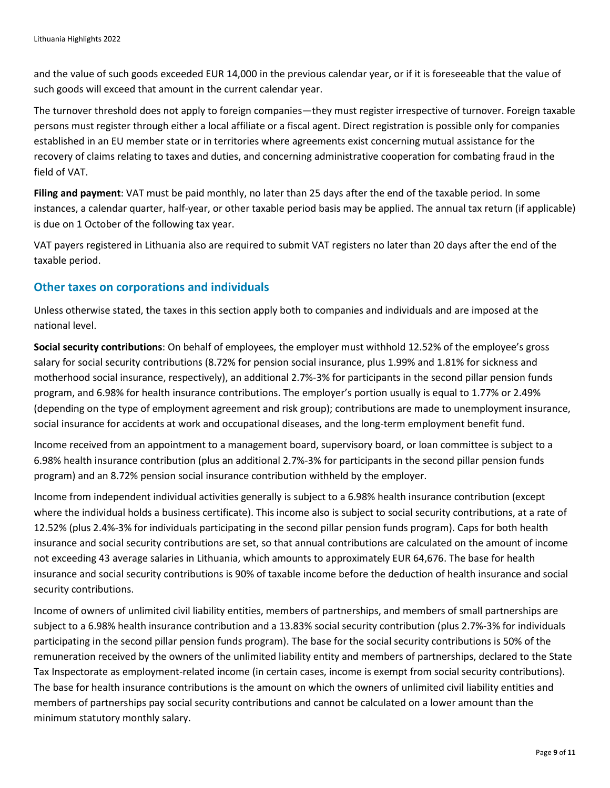and the value of such goods exceeded EUR 14,000 in the previous calendar year, or if it is foreseeable that the value of such goods will exceed that amount in the current calendar year.

The turnover threshold does not apply to foreign companies—they must register irrespective of turnover. Foreign taxable persons must register through either a local affiliate or a fiscal agent. Direct registration is possible only for companies established in an EU member state or in territories where agreements exist concerning mutual assistance for the recovery of claims relating to taxes and duties, and concerning administrative cooperation for combating fraud in the field of VAT.

**Filing and payment**: VAT must be paid monthly, no later than 25 days after the end of the taxable period. In some instances, a calendar quarter, half-year, or other taxable period basis may be applied. The annual tax return (if applicable) is due on 1 October of the following tax year.

VAT payers registered in Lithuania also are required to submit VAT registers no later than 20 days after the end of the taxable period.

#### **Other taxes on corporations and individuals**

Unless otherwise stated, the taxes in this section apply both to companies and individuals and are imposed at the national level.

**Social security contributions**: On behalf of employees, the employer must withhold 12.52% of the employee's gross salary for social security contributions (8.72% for pension social insurance, plus 1.99% and 1.81% for sickness and motherhood social insurance, respectively), an additional 2.7%-3% for participants in the second pillar pension funds program, and 6.98% for health insurance contributions. The employer's portion usually is equal to 1.77% or 2.49% (depending on the type of employment agreement and risk group); contributions are made to unemployment insurance, social insurance for accidents at work and occupational diseases, and the long-term employment benefit fund.

Income received from an appointment to a management board, supervisory board, or loan committee is subject to a 6.98% health insurance contribution (plus an additional 2.7%-3% for participants in the second pillar pension funds program) and an 8.72% pension social insurance contribution withheld by the employer.

Income from independent individual activities generally is subject to a 6.98% health insurance contribution (except where the individual holds a business certificate). This income also is subject to social security contributions, at a rate of 12.52% (plus 2.4%-3% for individuals participating in the second pillar pension funds program). Caps for both health insurance and social security contributions are set, so that annual contributions are calculated on the amount of income not exceeding 43 average salaries in Lithuania, which amounts to approximately EUR 64,676. The base for health insurance and social security contributions is 90% of taxable income before the deduction of health insurance and social security contributions.

Income of owners of unlimited civil liability entities, members of partnerships, and members of small partnerships are subject to a 6.98% health insurance contribution and a 13.83% social security contribution (plus 2.7%-3% for individuals participating in the second pillar pension funds program). The base for the social security contributions is 50% of the remuneration received by the owners of the unlimited liability entity and members of partnerships, declared to the State Tax Inspectorate as employment-related income (in certain cases, income is exempt from social security contributions). The base for health insurance contributions is the amount on which the owners of unlimited civil liability entities and members of partnerships pay social security contributions and cannot be calculated on a lower amount than the minimum statutory monthly salary.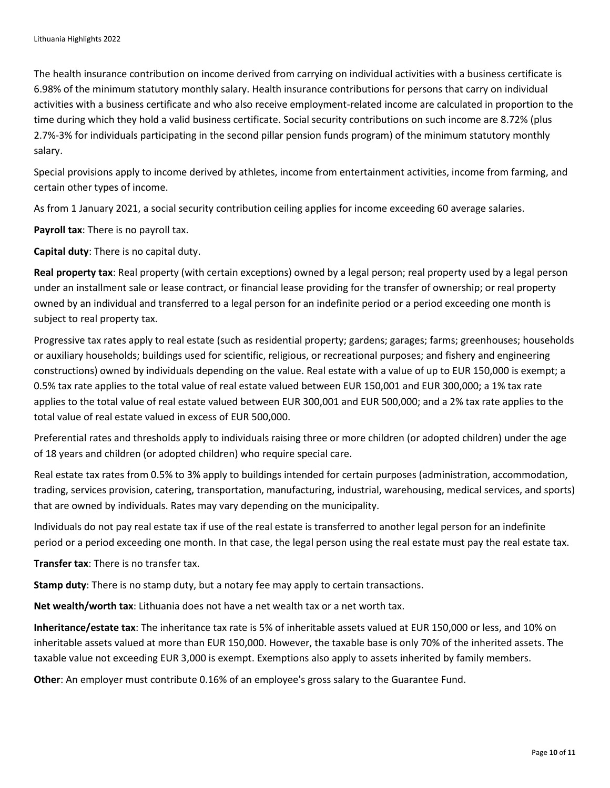The health insurance contribution on income derived from carrying on individual activities with a business certificate is 6.98% of the minimum statutory monthly salary. Health insurance contributions for persons that carry on individual activities with a business certificate and who also receive employment-related income are calculated in proportion to the time during which they hold a valid business certificate. Social security contributions on such income are 8.72% (plus 2.7%-3% for individuals participating in the second pillar pension funds program) of the minimum statutory monthly salary.

Special provisions apply to income derived by athletes, income from entertainment activities, income from farming, and certain other types of income.

As from 1 January 2021, a social security contribution ceiling applies for income exceeding 60 average salaries.

**Payroll tax**: There is no payroll tax.

**Capital duty**: There is no capital duty.

**Real property tax**: Real property (with certain exceptions) owned by a legal person; real property used by a legal person under an installment sale or lease contract, or financial lease providing for the transfer of ownership; or real property owned by an individual and transferred to a legal person for an indefinite period or a period exceeding one month is subject to real property tax.

Progressive tax rates apply to real estate (such as residential property; gardens; garages; farms; greenhouses; households or auxiliary households; buildings used for scientific, religious, or recreational purposes; and fishery and engineering constructions) owned by individuals depending on the value. Real estate with a value of up to EUR 150,000 is exempt; a 0.5% tax rate applies to the total value of real estate valued between EUR 150,001 and EUR 300,000; a 1% tax rate applies to the total value of real estate valued between EUR 300,001 and EUR 500,000; and a 2% tax rate applies to the total value of real estate valued in excess of EUR 500,000.

Preferential rates and thresholds apply to individuals raising three or more children (or adopted children) under the age of 18 years and children (or adopted children) who require special care.

Real estate tax rates from 0.5% to 3% apply to buildings intended for certain purposes (administration, accommodation, trading, services provision, catering, transportation, manufacturing, industrial, warehousing, medical services, and sports) that are owned by individuals. Rates may vary depending on the municipality.

Individuals do not pay real estate tax if use of the real estate is transferred to another legal person for an indefinite period or a period exceeding one month. In that case, the legal person using the real estate must pay the real estate tax.

**Transfer tax**: There is no transfer tax.

**Stamp duty**: There is no stamp duty, but a notary fee may apply to certain transactions.

**Net wealth/worth tax**: Lithuania does not have a net wealth tax or a net worth tax.

**Inheritance/estate tax**: The inheritance tax rate is 5% of inheritable assets valued at EUR 150,000 or less, and 10% on inheritable assets valued at more than EUR 150,000. However, the taxable base is only 70% of the inherited assets. The taxable value not exceeding EUR 3,000 is exempt. Exemptions also apply to assets inherited by family members.

**Other**: An employer must contribute 0.16% of an employee's gross salary to the Guarantee Fund.